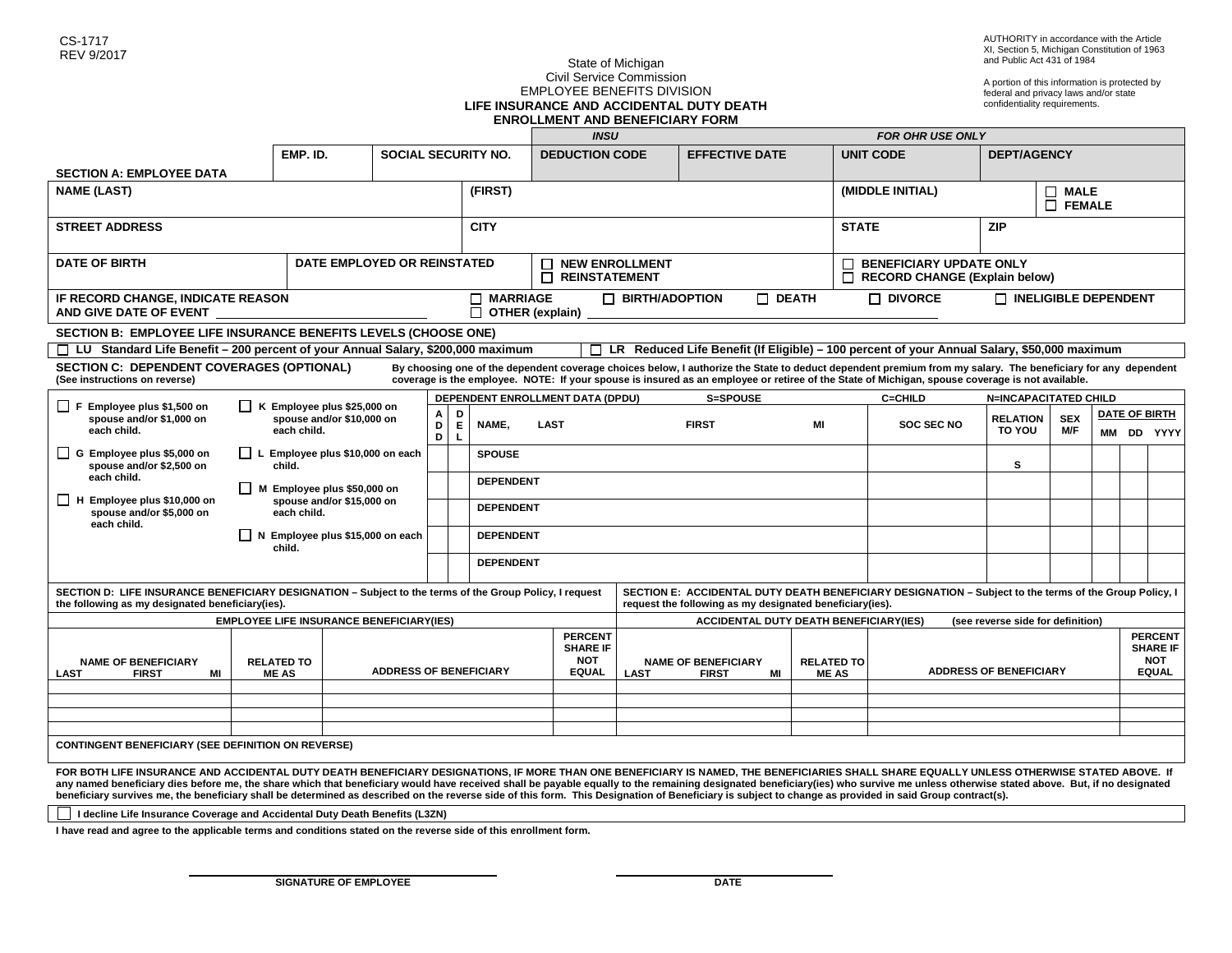A portion of this information is protected by federal and privacy laws and/or state confidentiality requirements.

#### State of Michigan Civil Service Commission EMPLOYEE BENEFITS DIVISION **LIFE INSURANCE AND ACCIDENTAL DUTY DEATH ENROLLMENT AND BENEFICIARY FORM**

|                                                                                                                                                                                                                                                                                                                                                                                                                                                                                                                                                                                                                                         |                                                                       |                                                                                                               |                                                                                    | <b>INSU</b> |                            |             |                                                                 |             | <b>FOR OHR USE ONLY</b>                                                                                               |                             |        |                                                                                                        |                              |                              |  |                      |  |  |  |
|-----------------------------------------------------------------------------------------------------------------------------------------------------------------------------------------------------------------------------------------------------------------------------------------------------------------------------------------------------------------------------------------------------------------------------------------------------------------------------------------------------------------------------------------------------------------------------------------------------------------------------------------|-----------------------------------------------------------------------|---------------------------------------------------------------------------------------------------------------|------------------------------------------------------------------------------------|-------------|----------------------------|-------------|-----------------------------------------------------------------|-------------|-----------------------------------------------------------------------------------------------------------------------|-----------------------------|--------|--------------------------------------------------------------------------------------------------------|------------------------------|------------------------------|--|----------------------|--|--|--|
|                                                                                                                                                                                                                                                                                                                                                                                                                                                                                                                                                                                                                                         |                                                                       | EMP. ID.                                                                                                      |                                                                                    |             | <b>SOCIAL SECURITY NO.</b> |             | <b>DEDUCTION CODE</b>                                           |             | <b>EFFECTIVE DATE</b>                                                                                                 |                             |        | <b>UNIT CODE</b>                                                                                       | <b>DEPT/AGENCY</b>           |                              |  |                      |  |  |  |
| <b>SECTION A: EMPLOYEE DATA</b>                                                                                                                                                                                                                                                                                                                                                                                                                                                                                                                                                                                                         |                                                                       |                                                                                                               |                                                                                    |             |                            |             |                                                                 |             |                                                                                                                       |                             |        |                                                                                                        |                              |                              |  |                      |  |  |  |
| <b>NAME (LAST)</b>                                                                                                                                                                                                                                                                                                                                                                                                                                                                                                                                                                                                                      |                                                                       |                                                                                                               |                                                                                    |             | (FIRST)                    |             |                                                                 |             |                                                                                                                       |                             |        | (MIDDLE INITIAL)                                                                                       | $\Box$ MALE<br>$\Box$ FEMALE |                              |  |                      |  |  |  |
| <b>STREET ADDRESS</b>                                                                                                                                                                                                                                                                                                                                                                                                                                                                                                                                                                                                                   |                                                                       |                                                                                                               |                                                                                    |             | <b>CITY</b>                |             |                                                                 |             | <b>STATE</b>                                                                                                          |                             |        | <b>ZIP</b>                                                                                             |                              |                              |  |                      |  |  |  |
| <b>DATE OF BIRTH</b>                                                                                                                                                                                                                                                                                                                                                                                                                                                                                                                                                                                                                    | DATE EMPLOYED OR REINSTATED                                           |                                                                                                               |                                                                                    |             |                            |             | <b>NEW ENROLLMENT</b><br>REINSTATEMENT                          |             |                                                                                                                       |                             | $\Box$ | <b>BENEFICIARY UPDATE ONLY</b><br>П<br><b>RECORD CHANGE (Explain below)</b>                            |                              |                              |  |                      |  |  |  |
| IF RECORD CHANGE, INDICATE REASON<br>AND GIVE DATE OF EVENT                                                                                                                                                                                                                                                                                                                                                                                                                                                                                                                                                                             |                                                                       | $\Box$ MARRIAGE<br>$\Box$ BIRTH/ADOPTION<br>$\Box$ DEATH<br>$\overline{\Box}$ OTHER (explain)                 |                                                                                    |             |                            |             |                                                                 |             | $\Box$ Divorce                                                                                                        | $\Box$ INELIGIBLE DEPENDENT |        |                                                                                                        |                              |                              |  |                      |  |  |  |
| SECTION B: EMPLOYEE LIFE INSURANCE BENEFITS LEVELS (CHOOSE ONE)                                                                                                                                                                                                                                                                                                                                                                                                                                                                                                                                                                         |                                                                       |                                                                                                               |                                                                                    |             |                            |             |                                                                 |             |                                                                                                                       |                             |        |                                                                                                        |                              |                              |  |                      |  |  |  |
| LR Reduced Life Benefit (If Eligible) - 100 percent of your Annual Salary, \$50,000 maximum<br>$\Box$ LU Standard Life Benefit – 200 percent of your Annual Salary, \$200,000 maximum<br>П.                                                                                                                                                                                                                                                                                                                                                                                                                                             |                                                                       |                                                                                                               |                                                                                    |             |                            |             |                                                                 |             |                                                                                                                       |                             |        |                                                                                                        |                              |                              |  |                      |  |  |  |
| <b>SECTION C: DEPENDENT COVERAGES (OPTIONAL)</b><br>By choosing one of the dependent coverage choices below, I authorize the State to deduct dependent premium from my salary. The beneficiary for any dependent<br>coverage is the employee. NOTE: If your spouse is insured as an employee or retiree of the State of Michigan, spouse coverage is not available.<br>(See instructions on reverse)                                                                                                                                                                                                                                    |                                                                       |                                                                                                               |                                                                                    |             |                            |             |                                                                 |             |                                                                                                                       |                             |        |                                                                                                        |                              |                              |  |                      |  |  |  |
| $\Box$ F Employee plus \$1,500 on                                                                                                                                                                                                                                                                                                                                                                                                                                                                                                                                                                                                       | $\blacksquare$ K Employee plus \$25,000 on                            |                                                                                                               |                                                                                    |             |                            |             | DEPENDENT ENROLLMENT DATA (DPDU)<br>S=SPOUSE                    |             |                                                                                                                       |                             |        | C=CHILD                                                                                                |                              | <b>N=INCAPACITATED CHILD</b> |  |                      |  |  |  |
| spouse and/or \$1,000 on                                                                                                                                                                                                                                                                                                                                                                                                                                                                                                                                                                                                                | spouse and/or \$10,000 on<br>each child.                              |                                                                                                               |                                                                                    | Α<br>D      | D<br>NAME,                 | <b>LAST</b> |                                                                 |             | <b>FIRST</b>                                                                                                          |                             | MI     | <b>SOC SEC NO</b>                                                                                      | <b>RELATION</b>              | <b>SEX</b>                   |  | <b>DATE OF BIRTH</b> |  |  |  |
| each child.                                                                                                                                                                                                                                                                                                                                                                                                                                                                                                                                                                                                                             |                                                                       |                                                                                                               |                                                                                    | D           | E<br>L                     |             |                                                                 |             |                                                                                                                       |                             |        | TO YOU                                                                                                 | M/F                          |                              |  | MM DD YYYY           |  |  |  |
| $\Box$ G Employee plus \$5,000 on<br>spouse and/or \$2,500 on                                                                                                                                                                                                                                                                                                                                                                                                                                                                                                                                                                           |                                                                       | $\Box$ L Employee plus \$10,000 on each<br>child.<br>M Employee plus \$50,000 on<br>spouse and/or \$15,000 on |                                                                                    |             | <b>SPOUSE</b>              |             |                                                                 |             |                                                                                                                       |                             |        |                                                                                                        | s                            |                              |  |                      |  |  |  |
| each child.<br>H Employee plus \$10,000 on                                                                                                                                                                                                                                                                                                                                                                                                                                                                                                                                                                                              |                                                                       |                                                                                                               |                                                                                    |             | <b>DEPENDENT</b>           |             |                                                                 |             |                                                                                                                       |                             |        |                                                                                                        |                              |                              |  |                      |  |  |  |
| spouse and/or \$5,000 on<br>each child.                                                                                                                                                                                                                                                                                                                                                                                                                                                                                                                                                                                                 | each child.                                                           |                                                                                                               |                                                                                    |             | <b>DEPENDENT</b>           |             |                                                                 |             |                                                                                                                       |                             |        |                                                                                                        |                              |                              |  |                      |  |  |  |
|                                                                                                                                                                                                                                                                                                                                                                                                                                                                                                                                                                                                                                         | Employee plus \$15,000 on each<br>$\mathsf{I}$ $\mathsf{N}$<br>child. |                                                                                                               |                                                                                    |             | <b>DEPENDENT</b>           |             |                                                                 |             |                                                                                                                       |                             |        |                                                                                                        |                              |                              |  |                      |  |  |  |
|                                                                                                                                                                                                                                                                                                                                                                                                                                                                                                                                                                                                                                         |                                                                       |                                                                                                               |                                                                                    |             | <b>DEPENDENT</b>           |             |                                                                 |             |                                                                                                                       |                             |        |                                                                                                        |                              |                              |  |                      |  |  |  |
| SECTION D: LIFE INSURANCE BENEFICIARY DESIGNATION - Subject to the terms of the Group Policy, I request<br>the following as my designated beneficiary(ies).<br>request the following as my designated beneficiary(ies).                                                                                                                                                                                                                                                                                                                                                                                                                 |                                                                       |                                                                                                               |                                                                                    |             |                            |             |                                                                 |             |                                                                                                                       |                             |        | SECTION E: ACCIDENTAL DUTY DEATH BENEFICIARY DESIGNATION - Subject to the terms of the Group Policy, I |                              |                              |  |                      |  |  |  |
| <b>EMPLOYEE LIFE INSURANCE BENEFICIARY(IES)</b>                                                                                                                                                                                                                                                                                                                                                                                                                                                                                                                                                                                         |                                                                       |                                                                                                               | <b>ACCIDENTAL DUTY DEATH BENEFICIARY(IES)</b><br>(see reverse side for definition) |             |                            |             |                                                                 |             |                                                                                                                       |                             |        |                                                                                                        |                              |                              |  |                      |  |  |  |
| <b>NAME OF BENEFICIARY</b><br><b>LAST</b><br><b>FIRST</b><br>MI                                                                                                                                                                                                                                                                                                                                                                                                                                                                                                                                                                         | <b>RELATED TO</b><br><b>ADDRESS OF BENEFICIARY</b><br><b>MEAS</b>     |                                                                                                               |                                                                                    |             |                            |             | <b>PERCENT</b><br><b>SHARE IF</b><br><b>NOT</b><br><b>EQUAL</b> | <b>LAST</b> | <b>NAME OF BENEFICIARY</b><br><b>RELATED TO</b><br><b>ADDRESS OF BENEFICIARY</b><br>MI<br><b>FIRST</b><br><b>MEAS</b> |                             |        |                                                                                                        |                              |                              |  |                      |  |  |  |
|                                                                                                                                                                                                                                                                                                                                                                                                                                                                                                                                                                                                                                         |                                                                       |                                                                                                               |                                                                                    |             |                            |             |                                                                 |             |                                                                                                                       |                             |        |                                                                                                        |                              |                              |  |                      |  |  |  |
|                                                                                                                                                                                                                                                                                                                                                                                                                                                                                                                                                                                                                                         |                                                                       |                                                                                                               |                                                                                    |             |                            |             |                                                                 |             |                                                                                                                       |                             |        |                                                                                                        |                              |                              |  |                      |  |  |  |
|                                                                                                                                                                                                                                                                                                                                                                                                                                                                                                                                                                                                                                         |                                                                       |                                                                                                               |                                                                                    |             |                            |             |                                                                 |             |                                                                                                                       |                             |        |                                                                                                        |                              |                              |  |                      |  |  |  |
| <b>CONTINGENT BENEFICIARY (SEE DEFINITION ON REVERSE)</b>                                                                                                                                                                                                                                                                                                                                                                                                                                                                                                                                                                               |                                                                       |                                                                                                               |                                                                                    |             |                            |             |                                                                 |             |                                                                                                                       |                             |        |                                                                                                        |                              |                              |  |                      |  |  |  |
| FOR BOTH LIFE INSURANCE AND ACCIDENTAL DUTY DEATH BENEFICIARY DESIGNATIONS, IF MORE THAN ONE BENEFICIARY IS NAMED, THE BENEFICIARIES SHALL SHARE EQUALLY UNLESS OTHERWISE STATED ABOVE. If<br>any named beneficiary dies before me, the share which that beneficiary would have received shall be payable equally to the remaining designated beneficiary(ies) who survive me unless otherwise stated above. But, if no desi<br>beneficiary survives me, the beneficiary shall be determined as described on the reverse side of this form. This Designation of Beneficiary is subject to change as provided in said Group contract(s). |                                                                       |                                                                                                               |                                                                                    |             |                            |             |                                                                 |             |                                                                                                                       |                             |        |                                                                                                        |                              |                              |  |                      |  |  |  |

 **I decline Life Insurance Coverage and Accidental Duty Death Benefits (L3ZN)** 

**I have read and agree to the applicable terms and conditions stated on the reverse side of this enrollment form.**